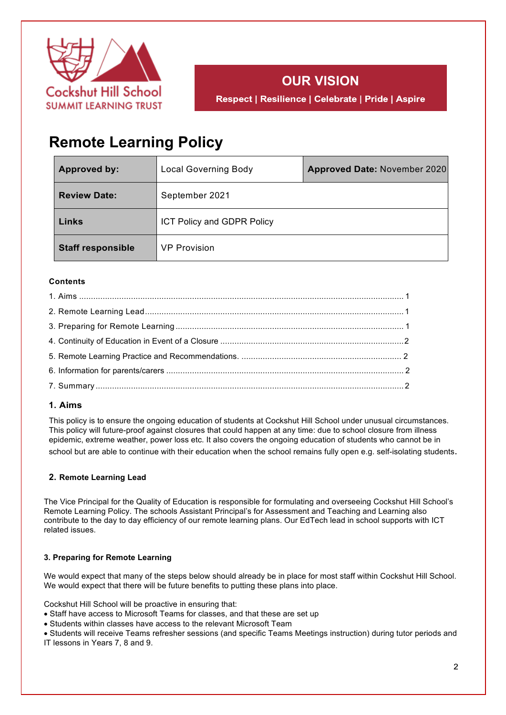



# **Remote Learning Policy**

| <b>Approved by:</b>      | <b>Local Governing Body</b> | <b>Approved Date: November 2020</b> |
|--------------------------|-----------------------------|-------------------------------------|
| <b>Review Date:</b>      | September 2021              |                                     |
| Links                    | ICT Policy and GDPR Policy  |                                     |
| <b>Staff responsible</b> | <b>VP Provision</b>         |                                     |

## **Contents**

## **1. Aims**

This policy is to ensure the ongoing education of students at Cockshut Hill School under unusual circumstances. This policy will future-proof against closures that could happen at any time: due to school closure from illness epidemic, extreme weather, power loss etc. It also covers the ongoing education of students who cannot be in school but are able to continue with their education when the school remains fully open e.g. self-isolating students.

## **2. Remote Learning Lead**

The Vice Principal for the Quality of Education is responsible for formulating and overseeing Cockshut Hill School's Remote Learning Policy. The schools Assistant Principal's for Assessment and Teaching and Learning also contribute to the day to day efficiency of our remote learning plans. Our EdTech lead in school supports with ICT related issues.

## **3. Preparing for Remote Learning**

We would expect that many of the steps below should already be in place for most staff within Cockshut Hill School. We would expect that there will be future benefits to putting these plans into place.

Cockshut Hill School will be proactive in ensuring that:

- Staff have access to Microsoft Teams for classes, and that these are set up
- Students within classes have access to the relevant Microsoft Team

• Students will receive Teams refresher sessions (and specific Teams Meetings instruction) during tutor periods and IT lessons in Years 7, 8 and 9.